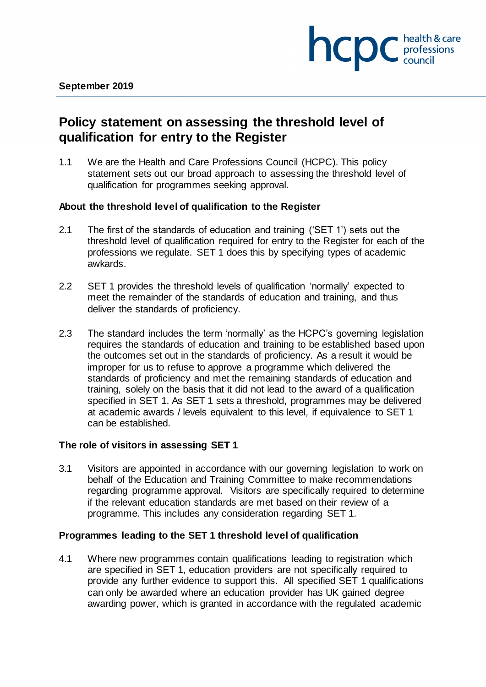

# **Policy statement on assessing the threshold level of qualification for entry to the Register**

1.1 We are the Health and Care Professions Council (HCPC). This policy statement sets out our broad approach to assessing the threshold level of qualification for programmes seeking approval.

## **About the threshold level of qualification to the Register**

- 2.1 The first of the standards of education and training ('SET 1') sets out the threshold level of qualification required for entry to the Register for each of the professions we regulate. SET 1 does this by specifying types of academic awkards.
- 2.2 SET 1 provides the threshold levels of qualification 'normally' expected to meet the remainder of the standards of education and training, and thus deliver the standards of proficiency.
- 2.3 The standard includes the term 'normally' as the HCPC's governing legislation requires the standards of education and training to be established based upon the outcomes set out in the standards of proficiency. As a result it would be improper for us to refuse to approve a programme which delivered the standards of proficiency and met the remaining standards of education and training, solely on the basis that it did not lead to the award of a qualification specified in SET 1. As SET 1 sets a threshold, programmes may be delivered at academic awards / levels equivalent to this level, if equivalence to SET 1 can be established.

## **The role of visitors in assessing SET 1**

3.1 Visitors are appointed in accordance with our governing legislation to work on behalf of the Education and Training Committee to make recommendations regarding programme approval. Visitors are specifically required to determine if the relevant education standards are met based on their review of a programme. This includes any consideration regarding SET 1.

## **Programmes leading to the SET 1 threshold level of qualification**

4.1 Where new programmes contain qualifications leading to registration which are specified in SET 1, education providers are not specifically required to provide any further evidence to support this. All specified SET 1 qualifications can only be awarded where an education provider has UK gained degree awarding power, which is granted in accordance with the regulated academic